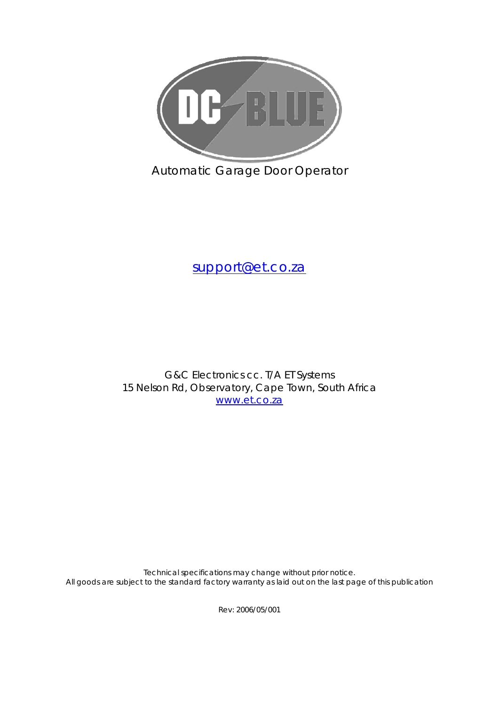

Automatic Garage Door Operator

[support@et.co.za](mailto:support@et.co.za)

G&C Electronics cc. T/A ET Systems 15 Nelson Rd, Observatory, Cape Town, South Africa [www.et.co.za](http://www.et.co.za/) 

Technical specifications may change without prior notice. All goods are subject to the standard factory warranty as laid out on the last page of this publication

Rev: 2006/05/001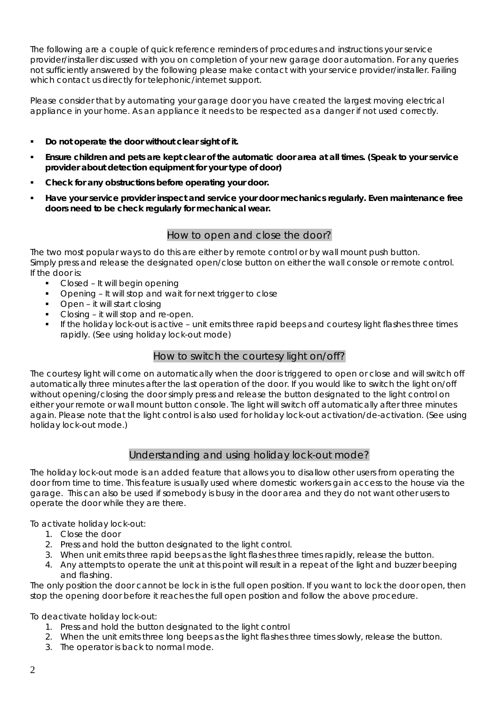The following are a couple of quick reference reminders of procedures and instructions your service provider/installer discussed with you on completion of your new garage door automation. For any queries not sufficiently answered by the following please make contact with your service provider/installer. Failing which contact us directly for telephonic/internet support.

Please consider that by automating your garage door you have created the largest moving electrical appliance in your home. As an appliance it needs to be respected as a danger if not used correctly.

- **Do not operate the door without clear sight of it.**
- **Ensure children and pets are kept clear of the automatic door area at all times. (Speak to your service provider about detection equipment for your type of door)**
- **Check for any obstructions before operating your door.**
- **Have your service provider inspect and service your door mechanics regularly. Even maintenance free doors need to be check regularly for mechanical wear.**

#### How to open and close the door?

The two most popular ways to do this are either by remote control or by wall mount push button. Simply press and release the designated open/close button on either the wall console or remote control. If the door is:

- Closed It will begin opening
- Opening It will stop and wait for next trigger to close
- Open it will start closing
- Closing it will stop and re-open.
- If the holiday lock-out is active unit emits three rapid beeps and courtesy light flashes three times rapidly. (See using holiday lock-out mode)

## How to switch the courtesy light on/off?

The courtesy light will come on automatically when the door is triggered to open or close and will switch off automatically three minutes after the last operation of the door. If you would like to switch the light on/off without opening/closing the door simply press and release the button designated to the light control on either your remote or wall mount button console. The light will switch off automatically after three minutes again. Please note that the light control is also used for holiday lock-out activation/de-activation. (See using holiday lock-out mode.)

### Understanding and using holiday lock-out mode?

The holiday lock-out mode is an added feature that allows you to disallow other users from operating the door from time to time. This feature is usually used where domestic workers gain access to the house via the garage. This can also be used if somebody is busy in the door area and they do not want other users to operate the door while they are there.

To activate holiday lock-out:

- 1. Close the door
- 2. Press and hold the button designated to the light control.
- 3. When unit emits three rapid beeps as the light flashes three times rapidly, release the button.
- 4. Any attempts to operate the unit at this point will result in a repeat of the light and buzzer beeping and flashing.

The only position the door cannot be lock in is the full open position. If you want to lock the door open, then stop the opening door before it reaches the full open position and follow the above procedure.

To deactivate holiday lock-out:

- 1. Press and hold the button designated to the light control
- 2. When the unit emits three long beeps as the light flashes three times slowly, release the button.
- 3. The operator is back to normal mode.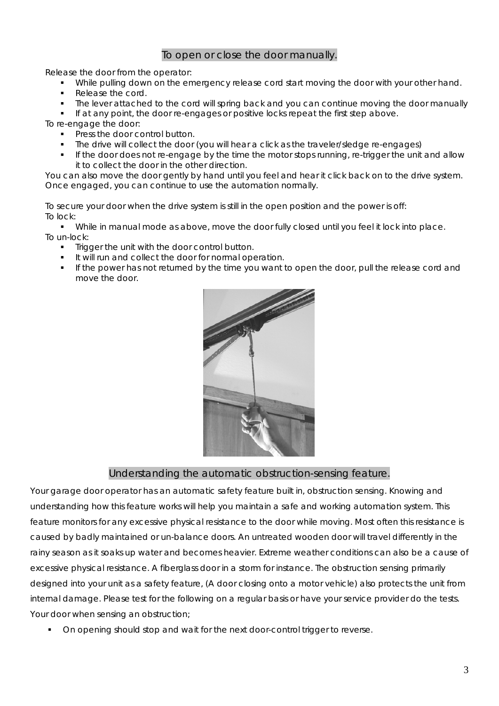# To open or close the door manually.

Release the door from the operator:

- While pulling down on the emergency release cord start moving the door with your other hand.
- Release the cord.
- The lever attached to the cord will spring back and you can continue moving the door manually
- If at any point, the door re-engages or positive locks repeat the first step above.

To re-engage the door:

- **Press the door control button.**
- The drive will collect the door (you will hear a click as the traveler/sledge re-engages)
- If the door does not re-engage by the time the motor stops running, re-trigger the unit and allow it to collect the door in the other direction.

You can also move the door gently by hand until you feel and hear it click back on to the drive system. Once engaged, you can continue to use the automation normally.

To secure your door when the drive system is still in the open position and the power is off: To lock:

 While in manual mode as above, move the door fully closed until you feel it lock into place. To un-lock:

- Trigger the unit with the door control button.
- It will run and collect the door for normal operation.
- If the power has not returned by the time you want to open the door, pull the release cord and move the door.



## Understanding the automatic obstruction-sensing feature.

Your garage door operator has an automatic safety feature built in, obstruction sensing. Knowing and understanding how this feature works will help you maintain a safe and working automation system. This feature monitors for any excessive physical resistance to the door while moving. Most often this resistance is caused by badly maintained or un-balance doors. An untreated wooden door will travel differently in the rainy season as it soaks up water and becomes heavier. Extreme weather conditions can also be a cause of excessive physical resistance. A fiberglass door in a storm for instance. The obstruction sensing primarily designed into your unit as a safety feature, (A door closing onto a motor vehicle) also protects the unit from internal damage. Please test for the following on a regular basis or have your service provider do the tests. Your door when sensing an obstruction;

On opening should stop and wait for the next door-control trigger to reverse.